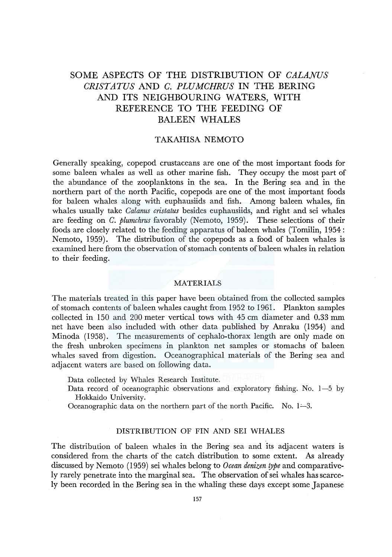# SOME ASPECTS OF THE DISTRIBUTION OF *CALANUS CR/STATUS* AND *C. PLUMCHRUS* IN THE BERING AND ITS NEIGHBOURING WATERS, WITH REFERENCE TO THE FEEDING OF BALEEN WHALES

# TAKAHISA NEMOTO

Generally speaking, copepod crustaceans are one of the most important foods for some baleen whales as well as other marine fish. They occupy the most part of the abundance of the zooplanktons in the sea. In the Bering sea and in the northern part of the north Pacific, copepods are one of the most important foods for baleen whales along with euphausiids and fish. Among baleen whales, fin whales usually take *Calanus cristatus* besides euphausiids, and right and sei whales are feeding on *C. plumchrus* favorably (Nemoto, 1959). These selections of their foods are closely related to the feeding apparatus of baleen whales (Tomilin, 1954 : Nemoto, 1959). The distribution of the copepods as a food of baleen whales is examined here from the observation of stomach contents of baleen whales in relation to their feeding.

#### MATERIALS

The materials treated in this paper have been obtained from the collected samples of stomach contents of baleen whales caught from 1952 to 1961. Plankton samples collected in 150 and 200 meter vertical tows with 45 cm diameter and 0.33 mm net have been also included with other data published by Anraku (1954) and Minoda (1958). The measurements of cephalo-thorax length are only made on the fresh unbroken specimens in plankton net samples or stomachs of baleen whales saved from digestion. Oceanographical materials of the Bering sea and adjacent waters are based on following data.

Data collected by Whales Research Institute,

Data record of oceanographic observations and exploratory fishing. No. 1-5 by Hokkaido University.

Oceanographic data on the northern part of the north Pacific. No.  $1-3$ .

# DISTRIBUTION OF FIN AND SEI WHALES

The distribution of baleen whales in the Bering sea and its adjacent waters is considered from the charts of the catch distribution to some extent. As already discussed by Nemoto (1959) sei whales belong to *Ocean denizen type* and comparatively rarely penetrate into the marginal sea. The observation of sei whales has scarcely been recorded in the Bering sea in the whaling these days except some Japanese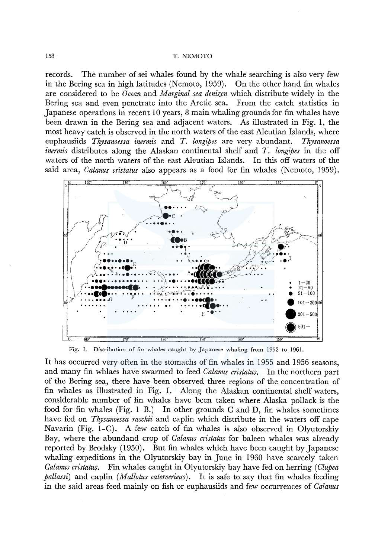records. The number of sei whales found by the whale searching is also very few in the Bering sea in high latitudes (Nemoto, 1959). On the other hand fin whales are considered to be *Ocean* and *Marginal sea denizen* which distribute widely in the Bering sea and even penetrate into the Arctic sea. From the catch statistics in Japanese operations in recent 10 years, 8 main whaling grounds for fin whales have been drawn in the Bering sea and adjacent waters. As illustrated in Fig. I, the most heavy catch is observed in the north waters of the east Aleutian Islands, where euphausiids *Thysanoessa inermis* and *T. longipes* are very abundant. *Thysanoessa inermis* distributes along the Alaskan continental shelf and *T. longipes* in the off waters of the north waters of the east Aleutian Islands. In this off waters of the said area, *Calanus cristatus* also appears as a food for fin whales (Nemoto, 1959).



Fig. 1. Distribution of fin whales caught by Japanese whaling from 1952 to 1961.

It has occurred very often in the stomachs of fin whales in 1955 and 1956 seasons, and many fin whlaes have swarmed to feed *Calanus cristatus.* In the northern part of the Bering sea, there have been observed three regions of the concentration of fin whales as illustrated in Fig. I. Along the Alaskan continental shelf waters, considerable number of fin whales have been taken where Alaska pollack is the food for fin whales (Fig.  $1-B$ .) In other grounds C and D, fin whales sometimes have fed on *Thysanoessa raschii* and caplin which distribute in the waters off cape Navarin (Fig. 1–C). A few catch of fin whales is also observed in Olyutorskiy Bay, where the abundand crop of *Calanus cristatus far* baleen whales was already reported by Brodsky (1950). But fin whales which have been caught by Japanese whaling expeditions in the Olyutorskiy bay in June in 1960 have scarcely taken *Calanus cristatus.* Fin whales caught in Olyutorskiy bay have fed on herring ( *Clupea pallassi)* and caplin *(Mallotus caterverieus).* It is safe to say that fin whales feeding in the said areas feed mainly on fish or euphausiids and few occurrences of *Calanus*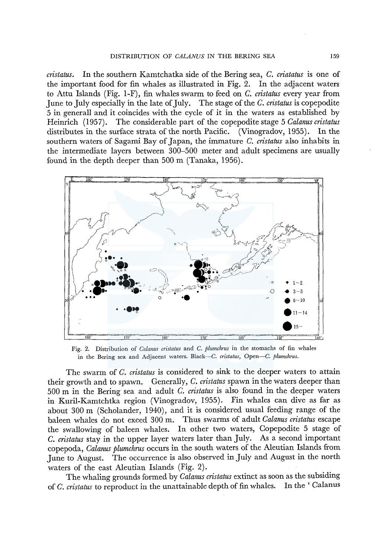*cristatus.* In the southern Kamtchatka side of the Bering sea, *C. criatatus* is one of the important food for fin whales as illustrated in Fig. 2. In the adjacent waters to Attu Islands (Fig. 1-F), fin whales swarm to feed on *C. cristatus* every year from June to July especially in the late of July. The stage of the *C. cristatus* is copepodite 5 in generall and it coincides with the cycle of it in the waters as established by Heinrich (1957). The considerable part of the copepodite stage 5 *Calanus cristatus* distributes in the surface strata of the north Pacific. (Vinogradov, 1955). In the southern waters of Sagami Bay of Japan, the immature *C. cristatus* also inhabits in the intermediate layers between 300-500 meter and adult specimens are usually found in the depth deeper than 500 m (Tanaka, 1956).



Fig. 2. Distribution of *Calanus cristatus* and *C. plumchrus* in the stomachs of fin whales in the Bering sea and Adjacent waters. Black-C. *cristatus,* Open-C. *plumchrus.* 

The swarm of *C. cristatus* is considered to sink to the deeper waters to attain their growth and to spawn. Generally, *C. cristatus* spawn in the waters deeper than 500 m in the Bering sea and adult *C. cristatus* is also found in the deeper waters in Kuril-Kamtchtka region (Vinogradov, 1955). Fin whales can dive as far as about 300 m (Scholander, 1940), and it is considered usual feeding range of the baleen whales do not exeed 300 m. Thus swarms of adult *Calanus cristatus* escape the swallowing of baleen whales. In other two waters, Copepodite 5 stage of *C. cristatus* stay in the upper layer waters later than July. As a second important copepoda, *Calanus plumchrus* occurs in the south waters of the Aleutian Islands from June to August. The occurrence is also observed in July and August in the north waters of the east Aleutian Islands (Fig. 2).

The whaling grounds formed by *Calanus cristatus* extinct as soon as the subsiding of *C. cristatus* to reproduct in the unattainable depth of fin whales. In the ' Calanus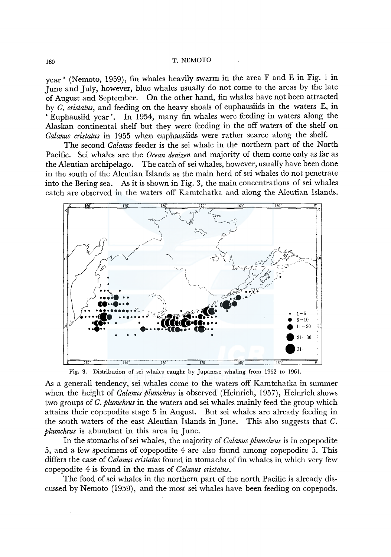year' (Nemoto, 1959), fin whales heavily swarm in the area F and E in Fig. 1 in June and July, however, blue whales usually do not come to the areas by the late of August and September. On the other hand, fin whales have not been attracted by *C. cristatus,* and feeding on the heavy shoals of euphausiids in the waters E, in ' Euphausiid year '. In I 954, many fin whales were feeding in waters along the Alaskan continental shelf but they were feeding in the off waters of the shelf on *Calanus cristatus* in 1955 when euphausiids were rather scarce along the shelf.

The second *Calanus* feeder is the sei whale in the northern part of the North Pacific. Sei whales are the *Ocean denizen* and majority of them come only as far as the Aleutian archipelago. The catch of sei whales, however, usually have been done in the south of the Aleutian Islands as the main herd of sei whales do not penetrate into the Bering sea. As it is shown in Fig. 3, the main concentrations of sei whales catch are observed in the waters off Kamtchatka and along the Aleutian Islands.



Fig. 3. Distribution of sei whales caught by Japanese whaling from 1952 to 1961.

As a generall tendency, sei whales come to the waters off Kamtchatka in summer when the height of *Calanus plumchrus* is observed (Heinrich, 1957), Heinrich shows two groups of *C. plumchrus* in the waters and sei whales mainly feed the group which attains their copepodite stage 5 in August. But sei whales are already feeding in the south waters of the east Aleutian Islands in June. This also suggests that C. *plumchrus* is abundant in this area in June.

In the stomachs of sei whales, the majority of *Calanus plumchrus* is in copepodite 5, and a few specimens of copepodite 4 are also found among copepodite 5. This differs the case of *Calanus cristatus* found in stomachs of fin whales in which very few copepodite 4 is found in the mass of *Calanus cristatus.* 

The food of sei whales in the northern part of the north Pacific is already discussed by Nemoto (1959), and the most sei whales have been feeding on copepods.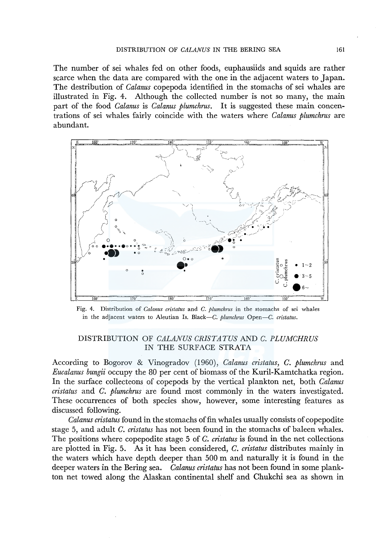The number of sei whales fed on other foods, euphausiids and squids are rather scarce when the data are compared with the one in the adjacent waters to Japan. The destribution of *Calanus* copepoda identified in the stomachs of sei whales are illustrated in Fig. 4. Although the collected number is not so many, the main part of the food *Calanus* is *Calanus plumchrus.* It is suggested these main concentrations of sei whales fairly coincide with the waters where *Calanus plumchrus* are abundant.



Fig. 4. Distribution of *Calanus cristatus* and *C. plumchrus* in the stomachs of sei whales in the adjacent waters to Aleutian Is. Black-C. *plumchrus* Open-C. *cristatus.* 

# DISTRIBUTION OF *CALANUS CR/STATUS* AND *C. PLUMCHRUS*  IN THE SURFACE STRATA

According to Bogorov & Vinogradov (1960), *Calanus cristatus, C. plumchrus* and *Eucalanus bungii* occupy the 80 per cent of biomass of the Kuril-Kamtchatka region. In the surface collecteons of copepods by the vertical plankton net, both *Calanus cristatus* and *C. plumchrus* are found most commonly in the waters investigated. These occurrences of both species show, however, some interesting features as discussed following.

*Calanus cristatus* found in the stomachs of fin whales usually consists of copepodite stage 5, and adult *C. cristatus* has not been found in the stomachs of baleen whales. The positions where copepodite stage 5 of *C. cristatus* is found in the net collections are plotted in Fig. 5. As it has been considered, *C. cristatus* distributes mainly in the waters which have depth deeper than 500 m and naturally it is found in the deeper waters in the Bering sea. *Calanus cristatus* has not been found in some plankton net towed along the Alaskan continental shelf and Chukchi sea as shown in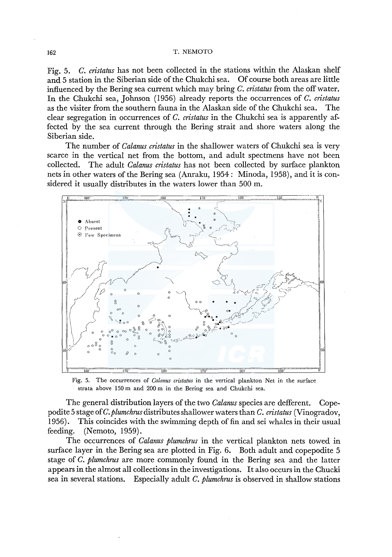Fig. 5. *C. cristatus* has not been collected in the stations within the Alaskan shelf and 5 station in the Siberian side of the Chukchi sea. Of course both areas are little influenced by the Bering sea current which may bring *C. cristatus* from the off water. In the Chukchi sea, Johnson (1956) already reports the occurrences of *C. cristatus*  as the visiter from the southern fauna in the Alaskan side of the Chukchi sea. The clear segregation in occurrences of *C. cristatus* in the Chukchi sea is apparently affected by the sea current through the Bering strait and shore waters along the Siberian side.

The number of *Calanus cristatus* in the shallower waters of Chukchi sea is very scarce in the vertical net from the bottom, and adult spectmens have not been collected. The adult *Calanus cristatus* has not been collected by surface plankton nets in other waters of the Bering sea (Anraku, 1954: Minoda, 1958), and it is considered it usually distributes in the waters lower than 500 m.



Fig. 5. The occurrences of *Calanus cristatus* in the vertical plankton Net in the surface strata above 150 m and 200 m in the Bering sea and Chukchi sea.

The general distribution layers of the two *Calanus* species are defferent. Copepodite 5 stage of *C. plumchrus* distributes shallower waters than *C. cristatus* (Vinogradov, 1956). This coincides with the swimming depth of fin and sei whales in their usual feeding. (Nemoto, 1959).

The occurrences of *Calanus plumchrus* in the vertical plankton nets towed in surface layer in the Bering sea are plotted in Fig. 6. Both adult and copepodite 5 stage of *C. plumchrus* are more commonly found in the Bering sea and the latter appears in the almost all collections in the investigations. It also occurs in the Chucki sea in several stations. Especially adult *C. plumchrus* is observed in shallow stations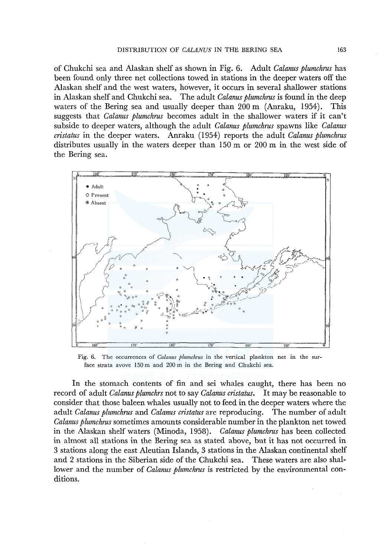of Chukchi sea and Alaskan shelf as shown in Fig. 6. Adult *Calanus plumchrus* has been found only three net collections towed in stations in the deeper waters off the Alaskan shelf and the west waters, however, it occurs in several shallower stations in Alaskan shelf and Chukchi sea. The adult *Calanus plumchrus* is found in the deep waters of the Bering sea and usually deeper than 200 m (Anraku, 1954). This suggests that *Calanus plumchrus* becomes adult in the shallower waters if it can't subside to deeper waters, although the adult *Calanus plumchrus* spawns like *Calanus cristatus* in the deeper waters. Anraku (1954) reports the adult *Calanus plumchrus*  distributes usually in the waters deeper than 150 m or 200 m in the west side of the Bering sea.



Fig. 6. The occurrences of *Calanus plumchrus* in the vertical plankton net in the surface strata avove 150 m and 200 m in the Bering and Chukchi sea.

In the stomach contents of fin and sei whales caught, there has been no record of adult *Calanus plumchrs* not to say *Calanus cristatus.* It may be reasonable to consider that those baleen whales usually not to feed in the deeper waters where the adult *Calanus plumchrus* and *Calanus cristatus* are reproducing. The number of adult *Calanus plumchrus* sometimes amounts considerable number in the plankton net towed in the Alaskan shelf waters (Minoda, 1958). *Calanus plumchrus* has been collected in almost all stations in the Bering sea as stated above, but it has not occurred in 3 stations along the east Aleutian Islands, 3 stations in the Alaskan continental shelf and 2 stations in the Siberian side of the Chukchi sea. These waters are also shallower and the number of *Calanus plumchrus* is restricted by the environmental conditions.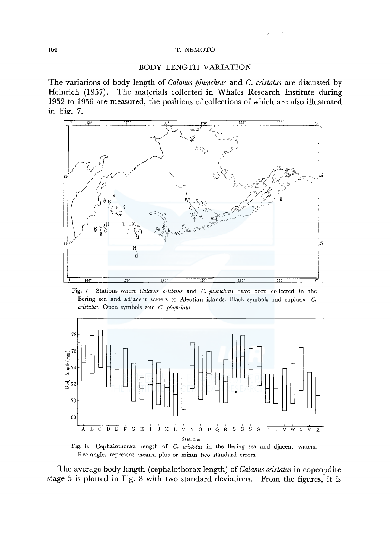## BODY LENGTH VARIATION

The variations of body length of *Calanus plumchrus* and *C. cristatus* are discussed by Heinrich (1957). The materials collected in Whales Research Institute during 1952 to 1956 are measured, the positions of collections of which are also illustrated m Fig. 7.



Fig. 7. Stations where *Calanus cristatus* and *C. ptumchrus* have been collected in the Bering sea and adjacent waters to Aleutian islands. Black symbols and capitals-C. *cristatus*, Open symbols and *C. plamchrus.* 



Fig. 8. Cephalothorax length of *C. cristatus* in the Bering sea and djacent waters. Rectangles represent means, plus or minus two standard errors.

The average body length ( cephalothorax length) of *Calanus cristatus* in copeopdite stage 5 is plotted in Fig. 8 with two standard deviations. From the figures, it is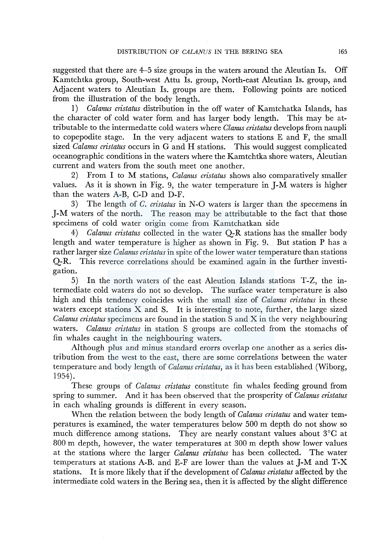suggested that there are 4-5 size groups in the waters around the Aleutian Is. Off Kamtchtka group, South-west Attu Is. group, North-east Aleutian Is. group, and Adjacent waters to Aleutian Is. groups are them. Following points are noticed from the illustration of the body length.

**1)** *Calanus cristatus* distribution in the off water of Kamtchatka Islands, has the character of cold water form and has larger body length. This may be attributable to the intermedatte cold waters where *Clanus cristatus* develops from naupli to copepodite stage. In the very adjacent waters to stations E and F, the small sized *Calanus cristatus* occurs in G and **H** stations. This would suggest complicated oceanographic conditions in the waters where the Kamtchtka shore waters, Aleutian current and waters from the south meet one another.

2) From I to M stations, *Calanus cristatus* shows also comparatively smaller values. As it is shown in Fig. 9, the water temperature in J-M waters is higher than the waters A-B, C-D and D-F.

3) The length of *C. cristatus* in N-0 waters is larger than the specemens in J-M waters of the north. The reason may be attributable to the fact that those specimens of cold water origin come from Kamtchatkan side

4) *Calanus cristatus* collected in the water Q-R stations has the smaller body length and water temperature is higher as shown in Fig. 9. But station P has a rather larger size *Calanus cristatus* in spite of the lower water temperature than stations Q-R. This reverce correlations should be examined again in the further investigation.

5) In the north waters of the east Aleution Islands stations T-Z, the intermediate cold waters do not so develop. The surface water temperature is also high and this tendency coincides with the small size of *Calanus cristatus* in these waters except stations  $\bar{X}$  and  $\bar{S}$ . It is interesting to note, further, the large sized *Calanus cristatus* specimens are found in the station S and X in the very neighbouring waters. *Calanus cristatus* in station S groups are collected from the stomachs of fin whales caught in the neighbouring waters.

Although plus and minus standard erorrs overlap one another as a series distribution from the west to the east, there are some correlations between the water temperature and body length of *Calanus cristatus,* as it has been established (Wiborg, 1954).

These groups of *Calanus cristatus* constitute fin whales feeding ground from spring to summer. And it has been observed that the prosperity of *Calanus cristatus*  in each whaling grounds is different in every season.

When the relation between the body length of *Calanus cristatus* and water temperatures is examined, the water temperatures below 500 m depth do not show so much difference among stations. They are nearly constant values about 3°C at 800 m depth, however, the water temperatures at 300 m depth show lower values at the stations where the larger *Calanus cristatus* has been collected. The water temperaturs at stations A-B. and E-F are lower than the values at **J-M** and T-X stations. It is more likely that if the development of *Calanus cristatus* affected by the intermediate cold waters in the Bering sea, then it is affected by the slight difference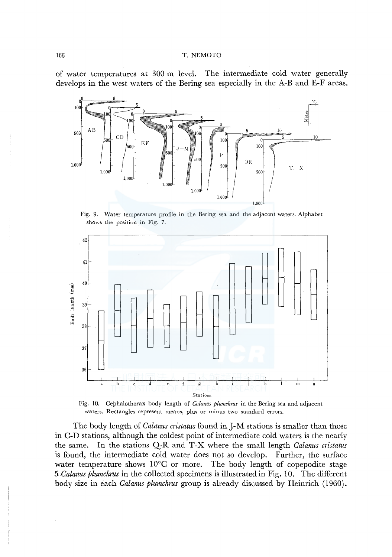of water temperatures at 300 m level. The intermediate cold water generally develops in the west waters of the Bering sea especially in the A-B and E-F areas.



Fig. 9. Water temperature profile in the Bering sea and the adjacent waters. Alphabet shows the position in Fig. 7.



Fig. 10. Cephalothorax body length of *Calanus plumchrus* in the Bering sea and adjacent waters. Rectangles represent means, plus or minus two standard errors.

The body length of *Calanus cristatus* found in J-M stations is smaller than those in C-D stations, although the coldest point of intermediate cold waters is the nearly the same. In the stations Q-R and T-X where the small length *Calanus cristatus*  is found, the intermediate cold water does not so develop. Further, the surface water temperature shows  $10^{\circ}$ C or more. The body length of copepodite stage 5 *Calanus plumchrus* in the collected specimens is illustrated in Fig. 10. The different body size in each *Calanus plumchrus* group is already discussed by Heinrich (1960).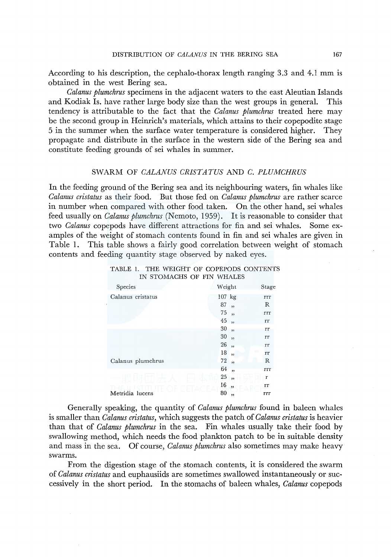According to his description, the cephalo-thorax length ranging 3.3 and 4.1 mm is obtained in the west Bering sea.

*Calanus plumchrus* specimens in the adjacent waters to the east Aleutian Islands and Kodiak Is. have rather large body size than the west groups in general. This tendency is attributable to the fact that the *Calanus plumchrus* treated here may be the second group in Heinrich's materials, which attains to their copepodite stage 5 in the summer when the surface water temperature is considered higher. They propagate and distribute in the surface in the western side of the Bering sea and constitute feeding grounds of sei whales in summer.

## SWARM OF *CALANUS CR/STATUS* AND *C. PLUMCHRUS*

In the feeding ground of the Bering sea and its neighbouring waters, fin whales like *Calanus cristatus* as their food. But those fed on *Calanus plumchrus* are rather scarce in number when compared with other food taken. On the other hand, sei whales feed usually on *Calanus plumchrus* (Nemoto, 1959). It is reasonable to consider that two *Calanus* copepods have different attractions for fin and sei whales. Some examples of the weight of stomach contents found in fin and sei whales are given in Table 1. This table shows a fairly good correlation between weight of stomach contents and feeding quantity stage observed by naked eyes.

| Species           | Weight                        | Stage |
|-------------------|-------------------------------|-------|
| Calanus cristatus | $107$ kg                      | rrr   |
|                   | 87<br>,                       | R     |
|                   | 75,                           | rrr   |
|                   | 45<br>,                       | rr    |
|                   | 30<br>$\overline{\mathbf{z}}$ | rr    |
|                   | 30<br>,                       | rr    |
|                   | 26<br>,                       | rr    |
|                   | 18<br>$\overline{\mathbf{z}}$ | rr    |
| Calanus plumchrus | 72<br>$\ddot{\phantom{1}}$    | R     |
|                   | 64<br>,,                      | rrr   |
|                   | 25<br>,                       | r     |
|                   | 16<br>$\overline{\mathbf{5}}$ | rr    |
| Metridia lucens   | 80<br>$\overline{\mathbf{z}}$ | rrr   |

|  |                           |  | TABLE 1. THE WEIGHT OF COPEPODS CONTENTS |
|--|---------------------------|--|------------------------------------------|
|  | IN STOMACHS OF FIN WHALES |  |                                          |

Generally speaking, the quantity of *Calanus plumchrus* found in baleen whales is smaller than *Calanus cristatus,* which suggests the patch of *Calanus cristatus* is heavier than that of *Calanus plumchrus* in the sea. Fin whales usually take their food by swallowing method, which needs the food plankton patch to be in suitable density and mass in the sea. Of course, *Calanus plumchrus* also sometimes may make heavy swarms.

From the digestion stage of the stomach contents, it is considered the swarm of *Calanus cristatus* and euphausiids are sometimes swallowed instantaneously or successively in the short period. In the stomachs of baleen whales, *Calanus* copepods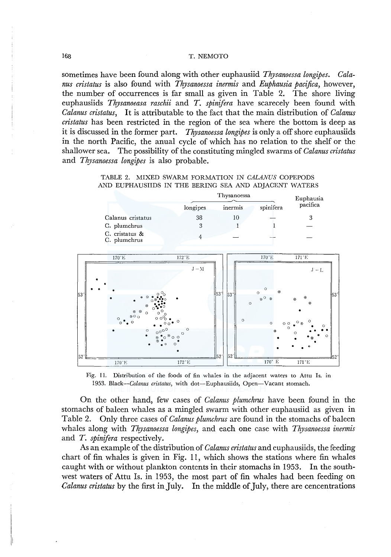sometimes have been found along with other euphausiid *Thysanoessa longipes. Calanus cristatus* is also found with *Thysanoessa inermis* and *Euphausia pacifica,* however, the number of occurrences is far small as given in Table 2. The shore living euphausiids *Thysanoeasa raschii* and *T. spinifera* have scarecely been found with *Calanus cristatus,* It is attributable to the fact that the main distribution of *Calanus cristatus* has been restricted in the region of the sea where the bottom is deep as it is discussed in the former part. *Thysanoessa longipes* is only a off shore euphausiids in the north Pacific, the anual cycle of which has no relation to the shelf or the shallower sea. The possibility of the constituting mingled swarms of *Calanus cristatus*  and *Thysanoessa longipes* is also probable.

|  | TABLE 2. MIXED SWARM FORMATION IN CALANUS COPEPODS    |  |  |
|--|-------------------------------------------------------|--|--|
|  | AND EUPHAUSIIDS IN THE BERING SEA AND ADJACENT WATERS |  |  |

|                                |          | Euphausia |           |          |
|--------------------------------|----------|-----------|-----------|----------|
|                                | longipes | inermis   | spinifera | pacifica |
| Calanus cristatus              | 38       |           |           |          |
| C. plumchrus                   | 3        |           |           |          |
| C. cristatus &<br>C. plumchrus |          |           |           |          |



Fig. 11. Distribution of the foods of fin whales in the adjacent waters to Attu Is. in 1953. Black--Calanus cristatus, with dot-Euphausiids, Open-Vacant stomach.

On the other hand, few cases of *Calanus plumchrus* have been found in the stomachs of baleen whales as a mingled swarm with other euphausiid as given in Table 2. Only three cases of *Calanus plumchrus* are found in the stomachs of baleen whales along with *Thysanoessa longipes,* and each one case with *Thysanoessa inermis*  and *T. spinifera* respectively.

As an example of the distribution of *Calanus cristatus* and euphausiids, the feeding chart of fin whales is given in Fig. 11, which shows the stations where fin whales caught with or without plankton contents in their stomachs in 1953. In the southwest waters of Attu Is. in 1953, the most part of fin whales had been feeding on *Calanus cristatus* by the first in July. In the middle of July, there are cencentrations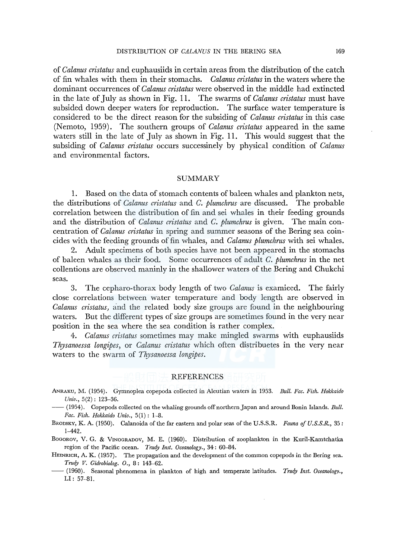of *Calanus cristatus* and euphausiids in certain areas from the distribution of the catch of fin whales with them in their stomachs. *Calanus cristatus* in the waters where the dominant occurrences of *Calanus cristatus* were observed in the middle had extincted in the late of July as shown in Fig. 11. The swarms of *Calanus cristatus* must have subsided down deeper waters for reproduction. The surface water temperature is considered to be the direct reason for the subsiding of *Calanus cristatus* in this case (Nemoto, 1959). The southern groups of *Calanus cristatus* appeared in the same waters still in the late of July as shown in Fig. 11. This would suggest that the subsiding of *Calanus cristatus* occurs successinely by physical condition of *Calanus*  and environmental factors.

## SUMMARY

1. Based on the data of stomach contents of baleen whales and plankton nets, the distributions of *Calanus cristatus* and *C. plumchrus* are discussed. The probable correlation between the distribution of fin and sei whales in their feeding grounds and the distribution of *Calanus cristatus* and *C. plumchrus* is given. The main concentration of *Calanus cristatus* in spring and summer seasons of the Bering sea coincides with the feeding grounds of fin whales, and *Calanus plumchrus* with sei whales.

2. Adult specimens of both species have not been appeared in the stomachs of baleen whales as their food. Some occurrences of adult *C. plumchrus* in the net collentions are observed maninly in the shallower waters of the Bering and Chukchi seas.

3. The cepharo-thorax body length of two *Calanus* is examieed. The fairly close correlations between water temperature and body length are observed in *Calanus cristatus,* and the related body size groups are found in the neighbouring waters. But the different types of size groups are sometimes found in the very near position in the sea where the sea condition is rather complex.

4. *Calanus cristatus* sometimes may make mingled swarms with euphausiids *Thysanoessa longipes,* or *Calanus cristatus* which often distribuetes in the very near waters to the swarm of *Thysanoessa longipes.* 

# REFERENCES

- ANRAKU, M. (1954). Gymnoplea copepoda collected in Aleutian waters in 1953. *Bull. Fae. Fish. Hokkaido Univ.,* 5(2) : 123-36.
- (1954). Copepods collected on the whaling grounds off northern Japan and around Bonin Islands. *Bull. Fae. Fish. Hokkaido Univ.,* 5(1): 1-8.
- BRODSKY, K. A. (1950). Calanoida of the far eastern and polar seas of the U.S.S.R. *Fauna of U.S.S.R.,* 35: 1-442.

BoGoRov, V. G. & VrNOGRADOV, M. E. (1960). Distribution of zooplankton in the Kuril-Kamtchatka region of the Pacific ocean. *Trudy Inst. Oeeanology.,* 34: 60-84.

- HEINRICH, A. K. (1957). The propagation and the development of the common copepods in the Bering sea. *Trudy V. Gidrobiolog.* 0., 8: 143-62.
- --(1960). Seasonal phenomena in plankton of high and temperate latitudes. *Trudy Inst. Oeeanology.,*  LI: 57-81.